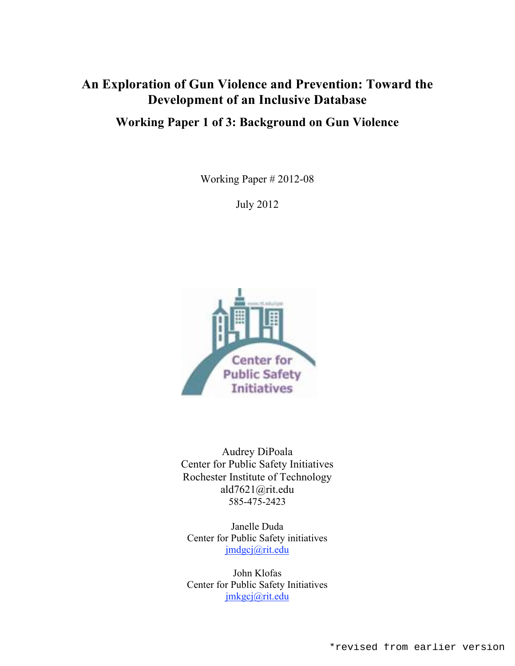# **An Exploration of Gun Violence and Prevention: Toward the Development of an Inclusive Database**

## **Working Paper 1 of 3: Background on Gun Violence**

Working Paper # 2012-08

July 2012



Audrey DiPoala Center for Public Safety Initiatives Rochester Institute of Technology ald7621@rit.edu 585-475-2423

Janelle Duda Center for Public Safety initiatives jmdgcj@rit.edu

John Klofas Center for Public Safety Initiatives jmkgcj@rit.edu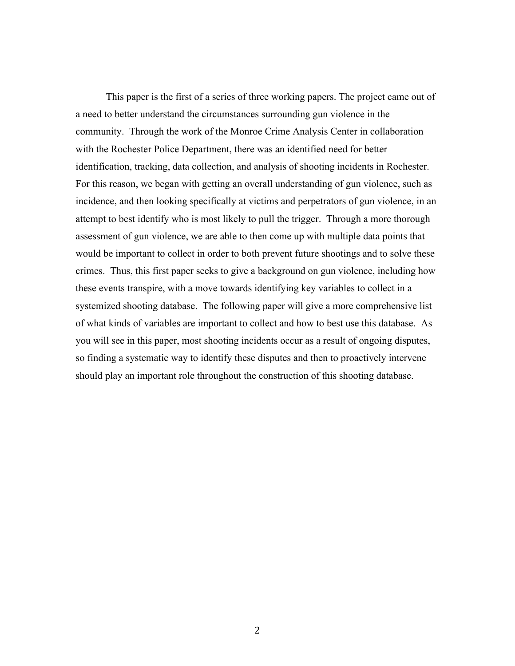This paper is the first of a series of three working papers. The project came out of a need to better understand the circumstances surrounding gun violence in the community. Through the work of the Monroe Crime Analysis Center in collaboration with the Rochester Police Department, there was an identified need for better identification, tracking, data collection, and analysis of shooting incidents in Rochester. For this reason, we began with getting an overall understanding of gun violence, such as incidence, and then looking specifically at victims and perpetrators of gun violence, in an attempt to best identify who is most likely to pull the trigger. Through a more thorough assessment of gun violence, we are able to then come up with multiple data points that would be important to collect in order to both prevent future shootings and to solve these crimes. Thus, this first paper seeks to give a background on gun violence, including how these events transpire, with a move towards identifying key variables to collect in a systemized shooting database. The following paper will give a more comprehensive list of what kinds of variables are important to collect and how to best use this database. As you will see in this paper, most shooting incidents occur as a result of ongoing disputes, so finding a systematic way to identify these disputes and then to proactively intervene should play an important role throughout the construction of this shooting database.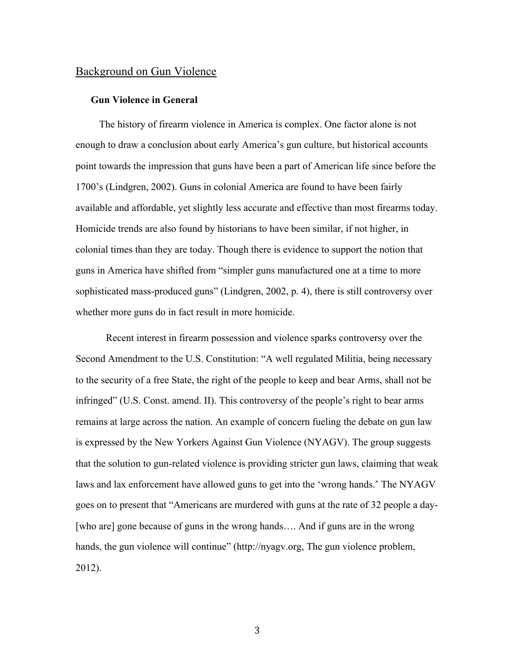## Background on Gun Violence

## **Gun Violence in General**

The history of firearm violence in America is complex. One factor alone is not enough to draw a conclusion about early America's gun culture, but historical accounts point towards the impression that guns have been a part of American life since before the 1700's (Lindgren, 2002). Guns in colonial America are found to have been fairly available and affordable, yet slightly less accurate and effective than most firearms today. Homicide trends are also found by historians to have been similar, if not higher, in colonial times than they are today. Though there is evidence to support the notion that guns in America have shifted from "simpler guns manufactured one at a time to more sophisticated mass-produced guns" (Lindgren, 2002, p. 4), there is still controversy over whether more guns do in fact result in more homicide.

Recent interest in firearm possession and violence sparks controversy over the Second Amendment to the U.S. Constitution: "A well regulated Militia, being necessary to the security of a free State, the right of the people to keep and bear Arms, shall not be infringed" (U.S. Const. amend. II). This controversy of the people's right to bear arms remains at large across the nation. An example of concern fueling the debate on gun law is expressed by the New Yorkers Against Gun Violence (NYAGV). The group suggests that the solution to gun-related violence is providing stricter gun laws, claiming that weak laws and lax enforcement have allowed guns to get into the 'wrong hands.' The NYAGV goes on to present that "Americans are murdered with guns at the rate of 32 people a day- [who are] gone because of guns in the wrong hands.... And if guns are in the wrong hands, the gun violence will continue" (http://nyagv.org, The gun violence problem, 2012).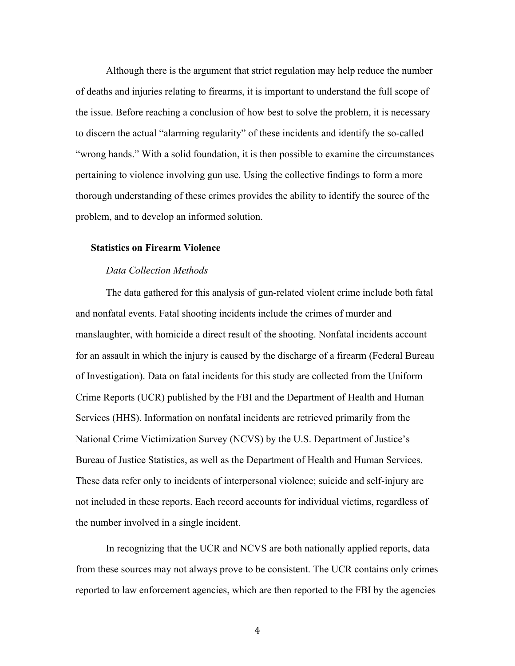Although there is the argument that strict regulation may help reduce the number of deaths and injuries relating to firearms, it is important to understand the full scope of the issue. Before reaching a conclusion of how best to solve the problem, it is necessary to discern the actual "alarming regularity" of these incidents and identify the so-called "wrong hands." With a solid foundation, it is then possible to examine the circumstances pertaining to violence involving gun use. Using the collective findings to form a more thorough understanding of these crimes provides the ability to identify the source of the problem, and to develop an informed solution.

#### **Statistics on Firearm Violence**

#### *Data Collection Methods*

The data gathered for this analysis of gun-related violent crime include both fatal and nonfatal events. Fatal shooting incidents include the crimes of murder and manslaughter, with homicide a direct result of the shooting. Nonfatal incidents account for an assault in which the injury is caused by the discharge of a firearm (Federal Bureau of Investigation). Data on fatal incidents for this study are collected from the Uniform Crime Reports (UCR) published by the FBI and the Department of Health and Human Services (HHS). Information on nonfatal incidents are retrieved primarily from the National Crime Victimization Survey (NCVS) by the U.S. Department of Justice's Bureau of Justice Statistics, as well as the Department of Health and Human Services. These data refer only to incidents of interpersonal violence; suicide and self-injury are not included in these reports. Each record accounts for individual victims, regardless of the number involved in a single incident.

In recognizing that the UCR and NCVS are both nationally applied reports, data from these sources may not always prove to be consistent. The UCR contains only crimes reported to law enforcement agencies, which are then reported to the FBI by the agencies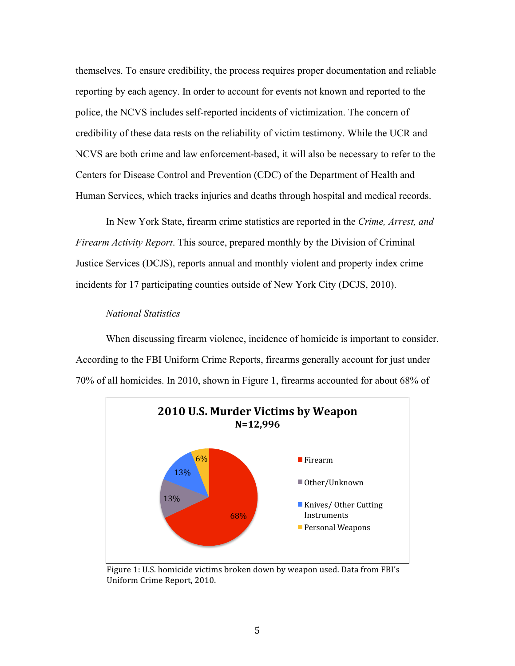themselves. To ensure credibility, the process requires proper documentation and reliable reporting by each agency. In order to account for events not known and reported to the police, the NCVS includes self-reported incidents of victimization. The concern of credibility of these data rests on the reliability of victim testimony. While the UCR and NCVS are both crime and law enforcement-based, it will also be necessary to refer to the Centers for Disease Control and Prevention (CDC) of the Department of Health and Human Services, which tracks injuries and deaths through hospital and medical records.

In New York State, firearm crime statistics are reported in the *Crime, Arrest, and Firearm Activity Report*. This source, prepared monthly by the Division of Criminal Justice Services (DCJS), reports annual and monthly violent and property index crime incidents for 17 participating counties outside of New York City (DCJS, 2010).

#### *National Statistics*

When discussing firearm violence, incidence of homicide is important to consider. According to the FBI Uniform Crime Reports, firearms generally account for just under 70% of all homicides. In 2010, shown in Figure 1, firearms accounted for about 68% of



Figure 1: U.S. homicide victims broken down by weapon used. Data from FBI's Uniform
Crime
Report,
2010.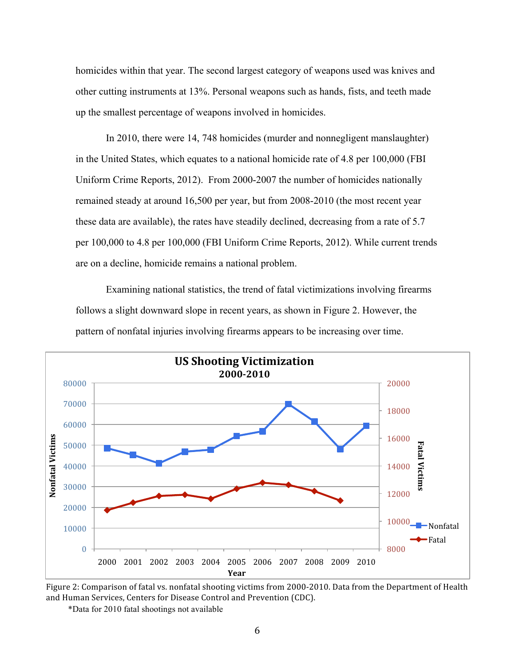homicides within that year. The second largest category of weapons used was knives and other cutting instruments at 13%. Personal weapons such as hands, fists, and teeth made up the smallest percentage of weapons involved in homicides.

In 2010, there were 14, 748 homicides (murder and nonnegligent manslaughter) in the United States, which equates to a national homicide rate of 4.8 per 100,000 (FBI Uniform Crime Reports, 2012). From 2000-2007 the number of homicides nationally remained steady at around 16,500 per year, but from 2008-2010 (the most recent year these data are available), the rates have steadily declined, decreasing from a rate of 5.7 per 100,000 to 4.8 per 100,000 (FBI Uniform Crime Reports, 2012). While current trends are on a decline, homicide remains a national problem.

Examining national statistics, the trend of fatal victimizations involving firearms follows a slight downward slope in recent years, as shown in Figure 2. However, the pattern of nonfatal injuries involving firearms appears to be increasing over time.



Figure 2: Comparison of fatal vs. nonfatal shooting victims from 2000-2010. Data from the Department of Health and
Human
Services,
Centers
for
Disease
Control
and
Prevention
(CDC).

\*Data for 2010 fatal shootings not available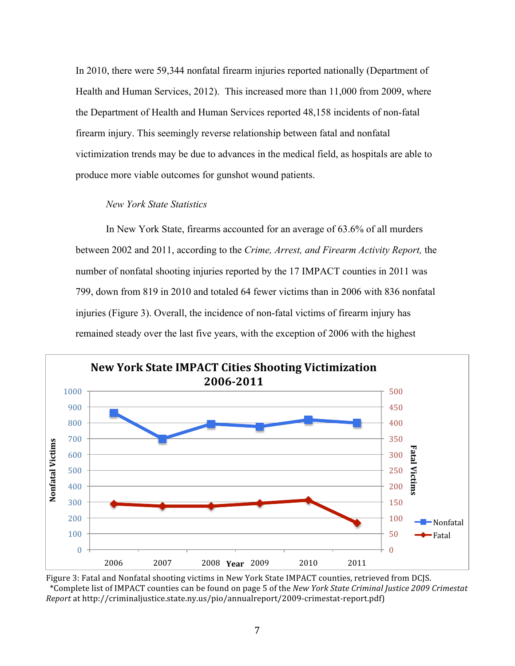In 2010, there were 59,344 nonfatal firearm injuries reported nationally (Department of Health and Human Services, 2012). This increased more than 11,000 from 2009, where the Department of Health and Human Services reported 48,158 incidents of non-fatal firearm injury. This seemingly reverse relationship between fatal and nonfatal victimization trends may be due to advances in the medical field, as hospitals are able to produce more viable outcomes for gunshot wound patients.

## *New York State Statistics*

In New York State, firearms accounted for an average of 63.6% of all murders between 2002 and 2011, according to the *Crime, Arrest, and Firearm Activity Report,* the number of nonfatal shooting injuries reported by the 17 IMPACT counties in 2011 was 799, down from 819 in 2010 and totaled 64 fewer victims than in 2006 with 836 nonfatal injuries (Figure 3). Overall, the incidence of non-fatal victims of firearm injury has remained steady over the last five years, with the exception of 2006 with the highest



Figure 3: Fatal and Nonfatal shooting victims in New York State IMPACT counties, retrieved from DCJS. \*Complete
list
of
IMPACT
counties
can
be
found
on
page
5
of
the *New
York
State
Criminal
Justice
2009
Crimestat Report*at
http://criminaljustice.state.ny.us/pio/annualreport/2009‐crimestat‐report.pdf)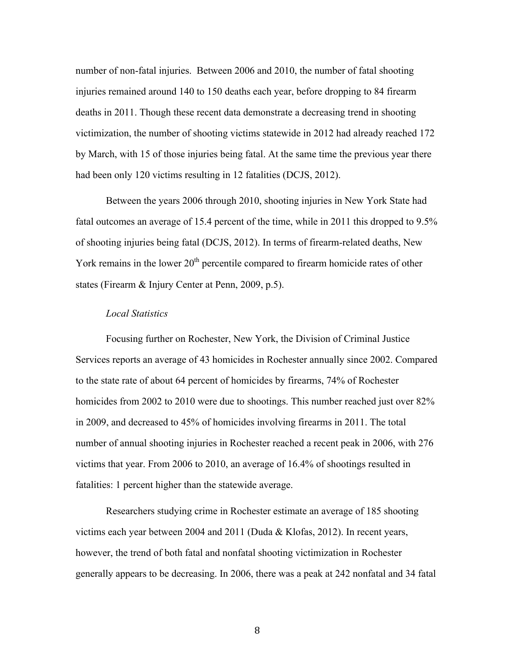number of non-fatal injuries. Between 2006 and 2010, the number of fatal shooting injuries remained around 140 to 150 deaths each year, before dropping to 84 firearm deaths in 2011. Though these recent data demonstrate a decreasing trend in shooting victimization, the number of shooting victims statewide in 2012 had already reached 172 by March, with 15 of those injuries being fatal. At the same time the previous year there had been only 120 victims resulting in 12 fatalities (DCJS, 2012).

Between the years 2006 through 2010, shooting injuries in New York State had fatal outcomes an average of 15.4 percent of the time, while in 2011 this dropped to 9.5% of shooting injuries being fatal (DCJS, 2012). In terms of firearm-related deaths, New York remains in the lower  $20<sup>th</sup>$  percentile compared to firearm homicide rates of other states (Firearm & Injury Center at Penn, 2009, p.5).

#### *Local Statistics*

Focusing further on Rochester, New York, the Division of Criminal Justice Services reports an average of 43 homicides in Rochester annually since 2002. Compared to the state rate of about 64 percent of homicides by firearms, 74% of Rochester homicides from 2002 to 2010 were due to shootings. This number reached just over 82% in 2009, and decreased to 45% of homicides involving firearms in 2011. The total number of annual shooting injuries in Rochester reached a recent peak in 2006, with 276 victims that year. From 2006 to 2010, an average of 16.4% of shootings resulted in fatalities: 1 percent higher than the statewide average.

Researchers studying crime in Rochester estimate an average of 185 shooting victims each year between 2004 and 2011 (Duda & Klofas, 2012). In recent years, however, the trend of both fatal and nonfatal shooting victimization in Rochester generally appears to be decreasing. In 2006, there was a peak at 242 nonfatal and 34 fatal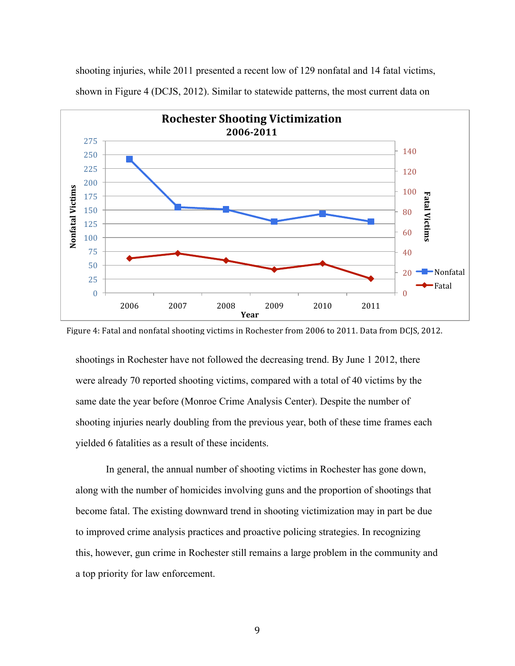

shooting injuries, while 2011 presented a recent low of 129 nonfatal and 14 fatal victims, shown in Figure 4 (DCJS, 2012). Similar to statewide patterns, the most current data on

shootings in Rochester have not followed the decreasing trend. By June 1 2012, there were already 70 reported shooting victims, compared with a total of 40 victims by the same date the year before (Monroe Crime Analysis Center). Despite the number of shooting injuries nearly doubling from the previous year, both of these time frames each yielded 6 fatalities as a result of these incidents.

In general, the annual number of shooting victims in Rochester has gone down, along with the number of homicides involving guns and the proportion of shootings that become fatal. The existing downward trend in shooting victimization may in part be due to improved crime analysis practices and proactive policing strategies. In recognizing this, however, gun crime in Rochester still remains a large problem in the community and a top priority for law enforcement.

Figure 4: Fatal and nonfatal shooting victims in Rochester from 2006 to 2011. Data from DCJS, 2012.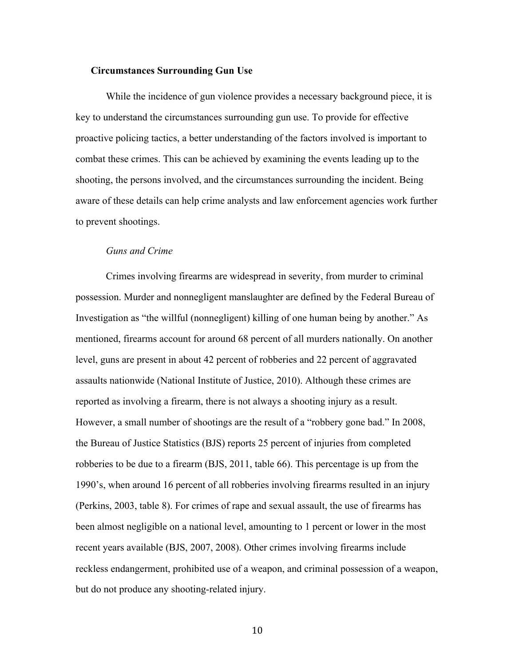#### **Circumstances Surrounding Gun Use**

While the incidence of gun violence provides a necessary background piece, it is key to understand the circumstances surrounding gun use. To provide for effective proactive policing tactics, a better understanding of the factors involved is important to combat these crimes. This can be achieved by examining the events leading up to the shooting, the persons involved, and the circumstances surrounding the incident. Being aware of these details can help crime analysts and law enforcement agencies work further to prevent shootings.

#### *Guns and Crime*

Crimes involving firearms are widespread in severity, from murder to criminal possession. Murder and nonnegligent manslaughter are defined by the Federal Bureau of Investigation as "the willful (nonnegligent) killing of one human being by another." As mentioned, firearms account for around 68 percent of all murders nationally. On another level, guns are present in about 42 percent of robberies and 22 percent of aggravated assaults nationwide (National Institute of Justice, 2010). Although these crimes are reported as involving a firearm, there is not always a shooting injury as a result. However, a small number of shootings are the result of a "robbery gone bad." In 2008, the Bureau of Justice Statistics (BJS) reports 25 percent of injuries from completed robberies to be due to a firearm (BJS, 2011, table 66). This percentage is up from the 1990's, when around 16 percent of all robberies involving firearms resulted in an injury (Perkins, 2003, table 8). For crimes of rape and sexual assault, the use of firearms has been almost negligible on a national level, amounting to 1 percent or lower in the most recent years available (BJS, 2007, 2008). Other crimes involving firearms include reckless endangerment, prohibited use of a weapon, and criminal possession of a weapon, but do not produce any shooting-related injury.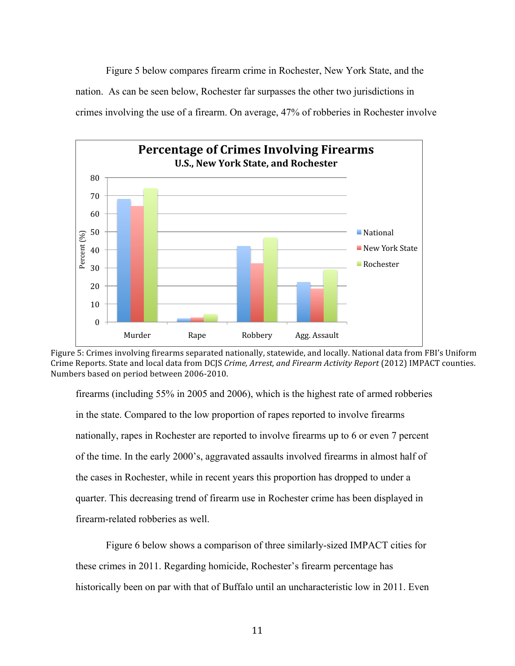Figure 5 below compares firearm crime in Rochester, New York State, and the nation. As can be seen below, Rochester far surpasses the other two jurisdictions in crimes involving the use of a firearm. On average, 47% of robberies in Rochester involve



Figure 5: Crimes involving firearms separated nationally, statewide, and locally. National data from FBI's Uniform Crime
Reports.
State
and
local
data
from
DCJS *Crime,
Arrest,
and
Firearm
Activity
Report*(2012)
IMPACT
counties. Numbers
based
on
period
between
2006‐2010.

firearms (including 55% in 2005 and 2006), which is the highest rate of armed robberies in the state. Compared to the low proportion of rapes reported to involve firearms nationally, rapes in Rochester are reported to involve firearms up to 6 or even 7 percent of the time. In the early 2000's, aggravated assaults involved firearms in almost half of the cases in Rochester, while in recent years this proportion has dropped to under a quarter. This decreasing trend of firearm use in Rochester crime has been displayed in firearm-related robberies as well.

Figure 6 below shows a comparison of three similarly-sized IMPACT cities for these crimes in 2011. Regarding homicide, Rochester's firearm percentage has historically been on par with that of Buffalo until an uncharacteristic low in 2011. Even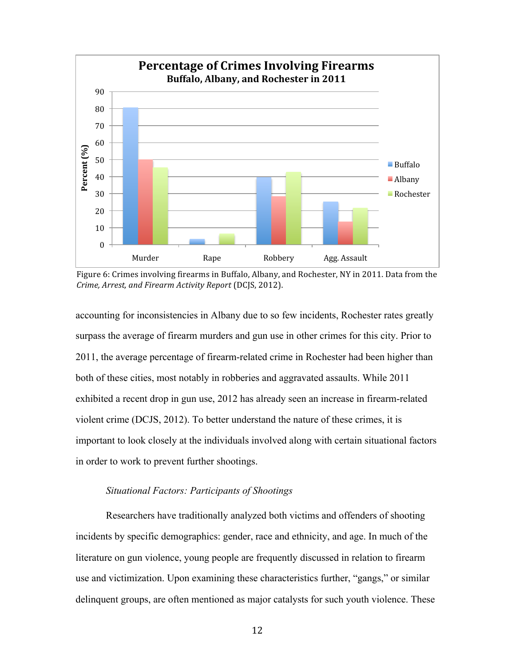

Figure 6: Crimes involving firearms in Buffalo, Albany, and Rochester, NY in 2011. Data from the *Crime,
Arrest,
and
Firearm
Activity
Report*(DCJS,
2012).

accounting for inconsistencies in Albany due to so few incidents, Rochester rates greatly surpass the average of firearm murders and gun use in other crimes for this city. Prior to 2011, the average percentage of firearm-related crime in Rochester had been higher than both of these cities, most notably in robberies and aggravated assaults. While 2011 exhibited a recent drop in gun use, 2012 has already seen an increase in firearm-related violent crime (DCJS, 2012). To better understand the nature of these crimes, it is important to look closely at the individuals involved along with certain situational factors in order to work to prevent further shootings.

## *Situational Factors: Participants of Shootings*

Researchers have traditionally analyzed both victims and offenders of shooting incidents by specific demographics: gender, race and ethnicity, and age. In much of the literature on gun violence, young people are frequently discussed in relation to firearm use and victimization. Upon examining these characteristics further, "gangs," or similar delinquent groups, are often mentioned as major catalysts for such youth violence. These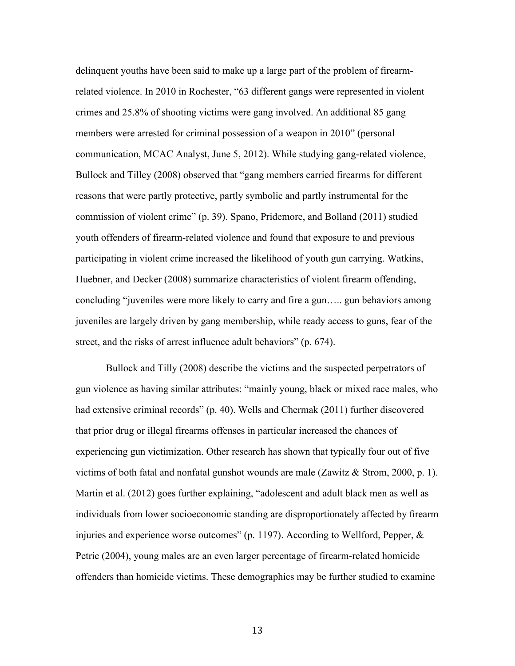delinquent youths have been said to make up a large part of the problem of firearmrelated violence. In 2010 in Rochester, "63 different gangs were represented in violent crimes and 25.8% of shooting victims were gang involved. An additional 85 gang members were arrested for criminal possession of a weapon in 2010" (personal communication, MCAC Analyst, June 5, 2012). While studying gang-related violence, Bullock and Tilley (2008) observed that "gang members carried firearms for different reasons that were partly protective, partly symbolic and partly instrumental for the commission of violent crime" (p. 39). Spano, Pridemore, and Bolland (2011) studied youth offenders of firearm-related violence and found that exposure to and previous participating in violent crime increased the likelihood of youth gun carrying. Watkins, Huebner, and Decker (2008) summarize characteristics of violent firearm offending, concluding "juveniles were more likely to carry and fire a gun….. gun behaviors among juveniles are largely driven by gang membership, while ready access to guns, fear of the street, and the risks of arrest influence adult behaviors" (p. 674).

Bullock and Tilly (2008) describe the victims and the suspected perpetrators of gun violence as having similar attributes: "mainly young, black or mixed race males, who had extensive criminal records" (p. 40). Wells and Chermak (2011) further discovered that prior drug or illegal firearms offenses in particular increased the chances of experiencing gun victimization. Other research has shown that typically four out of five victims of both fatal and nonfatal gunshot wounds are male (Zawitz  $\&$  Strom, 2000, p. 1). Martin et al. (2012) goes further explaining, "adolescent and adult black men as well as individuals from lower socioeconomic standing are disproportionately affected by firearm injuries and experience worse outcomes" (p. 1197). According to Wellford, Pepper, & Petrie (2004), young males are an even larger percentage of firearm-related homicide offenders than homicide victims. These demographics may be further studied to examine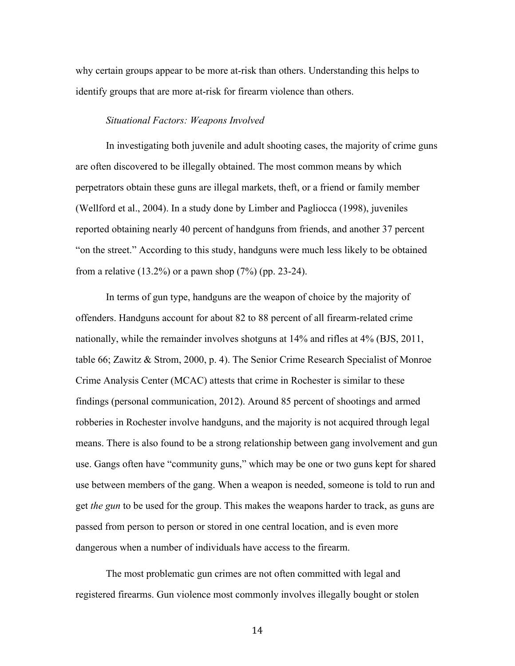why certain groups appear to be more at-risk than others. Understanding this helps to identify groups that are more at-risk for firearm violence than others.

#### *Situational Factors: Weapons Involved*

In investigating both juvenile and adult shooting cases, the majority of crime guns are often discovered to be illegally obtained. The most common means by which perpetrators obtain these guns are illegal markets, theft, or a friend or family member (Wellford et al., 2004). In a study done by Limber and Pagliocca (1998), juveniles reported obtaining nearly 40 percent of handguns from friends, and another 37 percent "on the street." According to this study, handguns were much less likely to be obtained from a relative  $(13.2\%)$  or a pawn shop  $(7\%)$  (pp. 23-24).

In terms of gun type, handguns are the weapon of choice by the majority of offenders. Handguns account for about 82 to 88 percent of all firearm-related crime nationally, while the remainder involves shotguns at 14% and rifles at 4% (BJS, 2011, table 66; Zawitz & Strom, 2000, p. 4). The Senior Crime Research Specialist of Monroe Crime Analysis Center (MCAC) attests that crime in Rochester is similar to these findings (personal communication, 2012). Around 85 percent of shootings and armed robberies in Rochester involve handguns, and the majority is not acquired through legal means. There is also found to be a strong relationship between gang involvement and gun use. Gangs often have "community guns," which may be one or two guns kept for shared use between members of the gang. When a weapon is needed, someone is told to run and get *the gun* to be used for the group. This makes the weapons harder to track, as guns are passed from person to person or stored in one central location, and is even more dangerous when a number of individuals have access to the firearm.

The most problematic gun crimes are not often committed with legal and registered firearms. Gun violence most commonly involves illegally bought or stolen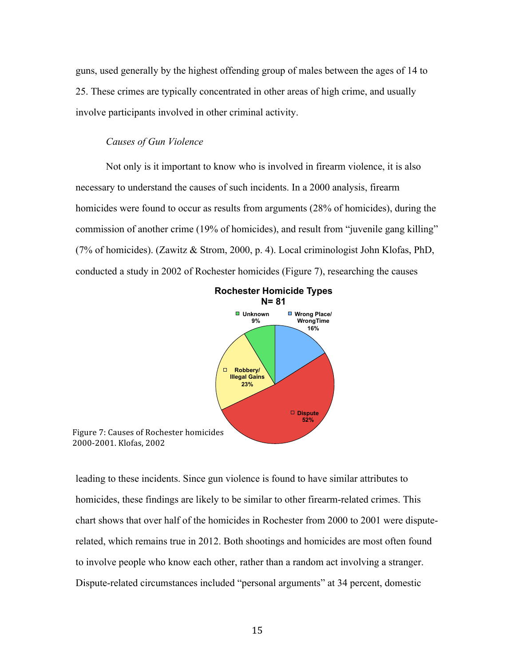guns, used generally by the highest offending group of males between the ages of 14 to 25. These crimes are typically concentrated in other areas of high crime, and usually involve participants involved in other criminal activity.

#### *Causes of Gun Violence*

Not only is it important to know who is involved in firearm violence, it is also necessary to understand the causes of such incidents. In a 2000 analysis, firearm homicides were found to occur as results from arguments (28% of homicides), during the commission of another crime (19% of homicides), and result from "juvenile gang killing" (7% of homicides). (Zawitz & Strom, 2000, p. 4). Local criminologist John Klofas, PhD, conducted a study in 2002 of Rochester homicides (Figure 7), researching the causes



leading to these incidents. Since gun violence is found to have similar attributes to homicides, these findings are likely to be similar to other firearm-related crimes. This chart shows that over half of the homicides in Rochester from 2000 to 2001 were disputerelated, which remains true in 2012. Both shootings and homicides are most often found to involve people who know each other, rather than a random act involving a stranger. Dispute-related circumstances included "personal arguments" at 34 percent, domestic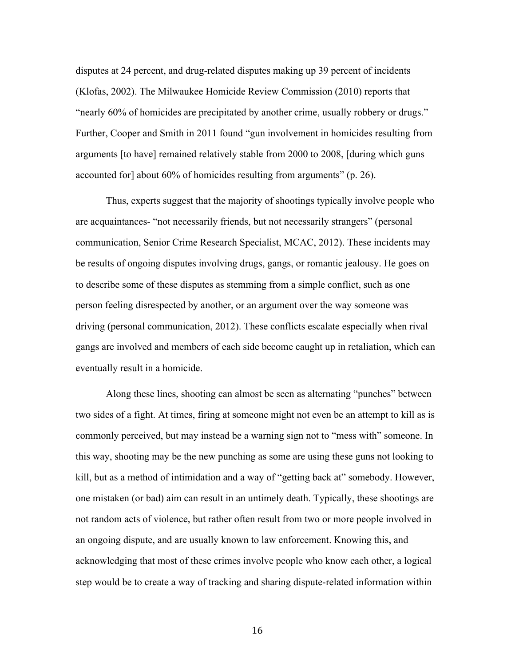disputes at 24 percent, and drug-related disputes making up 39 percent of incidents (Klofas, 2002). The Milwaukee Homicide Review Commission (2010) reports that "nearly 60% of homicides are precipitated by another crime, usually robbery or drugs." Further, Cooper and Smith in 2011 found "gun involvement in homicides resulting from arguments [to have] remained relatively stable from 2000 to 2008, [during which guns accounted for] about 60% of homicides resulting from arguments" (p. 26).

Thus, experts suggest that the majority of shootings typically involve people who are acquaintances- "not necessarily friends, but not necessarily strangers" (personal communication, Senior Crime Research Specialist, MCAC, 2012). These incidents may be results of ongoing disputes involving drugs, gangs, or romantic jealousy. He goes on to describe some of these disputes as stemming from a simple conflict, such as one person feeling disrespected by another, or an argument over the way someone was driving (personal communication, 2012). These conflicts escalate especially when rival gangs are involved and members of each side become caught up in retaliation, which can eventually result in a homicide.

Along these lines, shooting can almost be seen as alternating "punches" between two sides of a fight. At times, firing at someone might not even be an attempt to kill as is commonly perceived, but may instead be a warning sign not to "mess with" someone. In this way, shooting may be the new punching as some are using these guns not looking to kill, but as a method of intimidation and a way of "getting back at" somebody. However, one mistaken (or bad) aim can result in an untimely death. Typically, these shootings are not random acts of violence, but rather often result from two or more people involved in an ongoing dispute, and are usually known to law enforcement. Knowing this, and acknowledging that most of these crimes involve people who know each other, a logical step would be to create a way of tracking and sharing dispute-related information within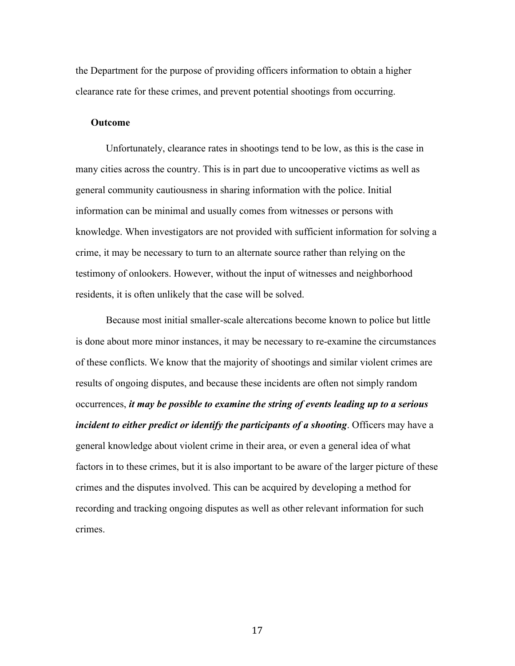the Department for the purpose of providing officers information to obtain a higher clearance rate for these crimes, and prevent potential shootings from occurring.

#### **Outcome**

Unfortunately, clearance rates in shootings tend to be low, as this is the case in many cities across the country. This is in part due to uncooperative victims as well as general community cautiousness in sharing information with the police. Initial information can be minimal and usually comes from witnesses or persons with knowledge. When investigators are not provided with sufficient information for solving a crime, it may be necessary to turn to an alternate source rather than relying on the testimony of onlookers. However, without the input of witnesses and neighborhood residents, it is often unlikely that the case will be solved.

Because most initial smaller-scale altercations become known to police but little is done about more minor instances, it may be necessary to re-examine the circumstances of these conflicts. We know that the majority of shootings and similar violent crimes are results of ongoing disputes, and because these incidents are often not simply random occurrences, *it may be possible to examine the string of events leading up to a serious incident to either predict or identify the participants of a shooting*. Officers may have a general knowledge about violent crime in their area, or even a general idea of what factors in to these crimes, but it is also important to be aware of the larger picture of these crimes and the disputes involved. This can be acquired by developing a method for recording and tracking ongoing disputes as well as other relevant information for such crimes.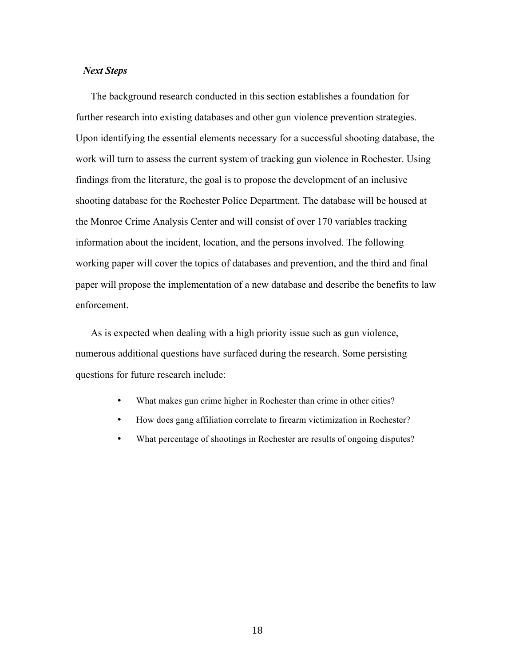### *Next Steps*

The background research conducted in this section establishes a foundation for further research into existing databases and other gun violence prevention strategies. Upon identifying the essential elements necessary for a successful shooting database, the work will turn to assess the current system of tracking gun violence in Rochester. Using findings from the literature, the goal is to propose the development of an inclusive shooting database for the Rochester Police Department. The database will be housed at the Monroe Crime Analysis Center and will consist of over 170 variables tracking information about the incident, location, and the persons involved. The following working paper will cover the topics of databases and prevention, and the third and final paper will propose the implementation of a new database and describe the benefits to law enforcement.

As is expected when dealing with a high priority issue such as gun violence, numerous additional questions have surfaced during the research. Some persisting questions for future research include:

- What makes gun crime higher in Rochester than crime in other cities?
- How does gang affiliation correlate to firearm victimization in Rochester?
- What percentage of shootings in Rochester are results of ongoing disputes?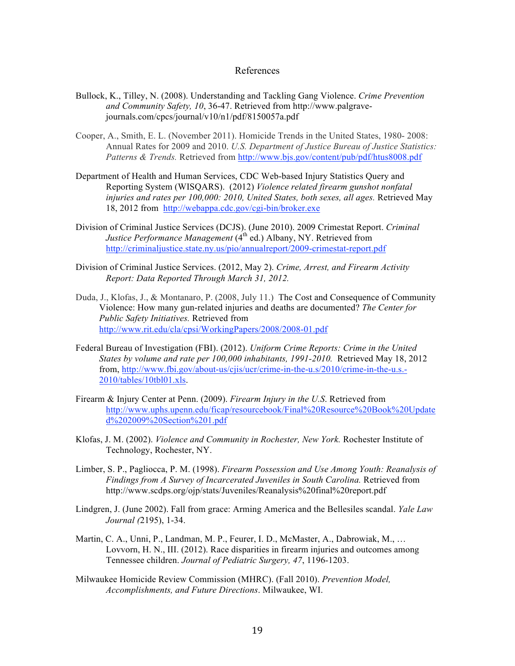#### References

- Bullock, K., Tilley, N. (2008). Understanding and Tackling Gang Violence. *Crime Prevention and Community Safety, 10*, 36-47. Retrieved from http://www.palgravejournals.com/cpcs/journal/v10/n1/pdf/8150057a.pdf
- Cooper, A., Smith, E. L. (November 2011). Homicide Trends in the United States, 1980- 2008: Annual Rates for 2009 and 2010. *U.S. Department of Justice Bureau of Justice Statistics: Patterns & Trends.* Retrieved from http://www.bjs.gov/content/pub/pdf/htus8008.pdf
- Department of Health and Human Services, CDC Web-based Injury Statistics Query and Reporting System (WISQARS). (2012) *Violence related firearm gunshot nonfatal injuries and rates per 100,000: 2010, United States, both sexes, all ages.* Retrieved May 18, 2012 from http://webappa.cdc.gov/cgi-bin/broker.exe
- Division of Criminal Justice Services (DCJS). (June 2010). 2009 Crimestat Report. *Criminal Justice Performance Management* (4<sup>th</sup> ed.) Albany, NY. Retrieved from http://criminaljustice.state.ny.us/pio/annualreport/2009-crimestat-report.pdf
- Division of Criminal Justice Services. (2012, May 2). *Crime, Arrest, and Firearm Activity Report: Data Reported Through March 31, 2012.*
- Duda, J., Klofas, J., & Montanaro, P. (2008, July 11.) The Cost and Consequence of Community Violence: How many gun-related injuries and deaths are documented? *The Center for Public Safety Initiatives.* Retrieved from http://www.rit.edu/cla/cpsi/WorkingPapers/2008/2008-01.pdf
- Federal Bureau of Investigation (FBI). (2012). *Uniform Crime Reports: Crime in the United States by volume and rate per 100,000 inhabitants, 1991-2010.* Retrieved May 18, 2012 from, http://www.fbi.gov/about-us/cjis/ucr/crime-in-the-u.s/2010/crime-in-the-u.s.- 2010/tables/10tbl01.xls.
- Firearm & Injury Center at Penn. (2009). *Firearm Injury in the U.S*. Retrieved from http://www.uphs.upenn.edu/ficap/resourcebook/Final%20Resource%20Book%20Update d%202009%20Section%201.pdf
- Klofas, J. M. (2002). *Violence and Community in Rochester, New York.* Rochester Institute of Technology, Rochester, NY.
- Limber, S. P., Pagliocca, P. M. (1998). *Firearm Possession and Use Among Youth: Reanalysis of Findings from A Survey of Incarcerated Juveniles in South Carolina.* Retrieved from http://www.scdps.org/ojp/stats/Juveniles/Reanalysis%20final%20report.pdf
- Lindgren, J. (June 2002). Fall from grace: Arming America and the Bellesiles scandal. *Yale Law Journal (*2195), 1-34.
- Martin, C. A., Unni, P., Landman, M. P., Feurer, I. D., McMaster, A., Dabrowiak, M., … Lovvorn, H. N., III. (2012). Race disparities in firearm injuries and outcomes among Tennessee children. *Journal of Pediatric Surgery, 47*, 1196-1203.
- Milwaukee Homicide Review Commission (MHRC). (Fall 2010). *Prevention Model, Accomplishments, and Future Directions*. Milwaukee, WI.